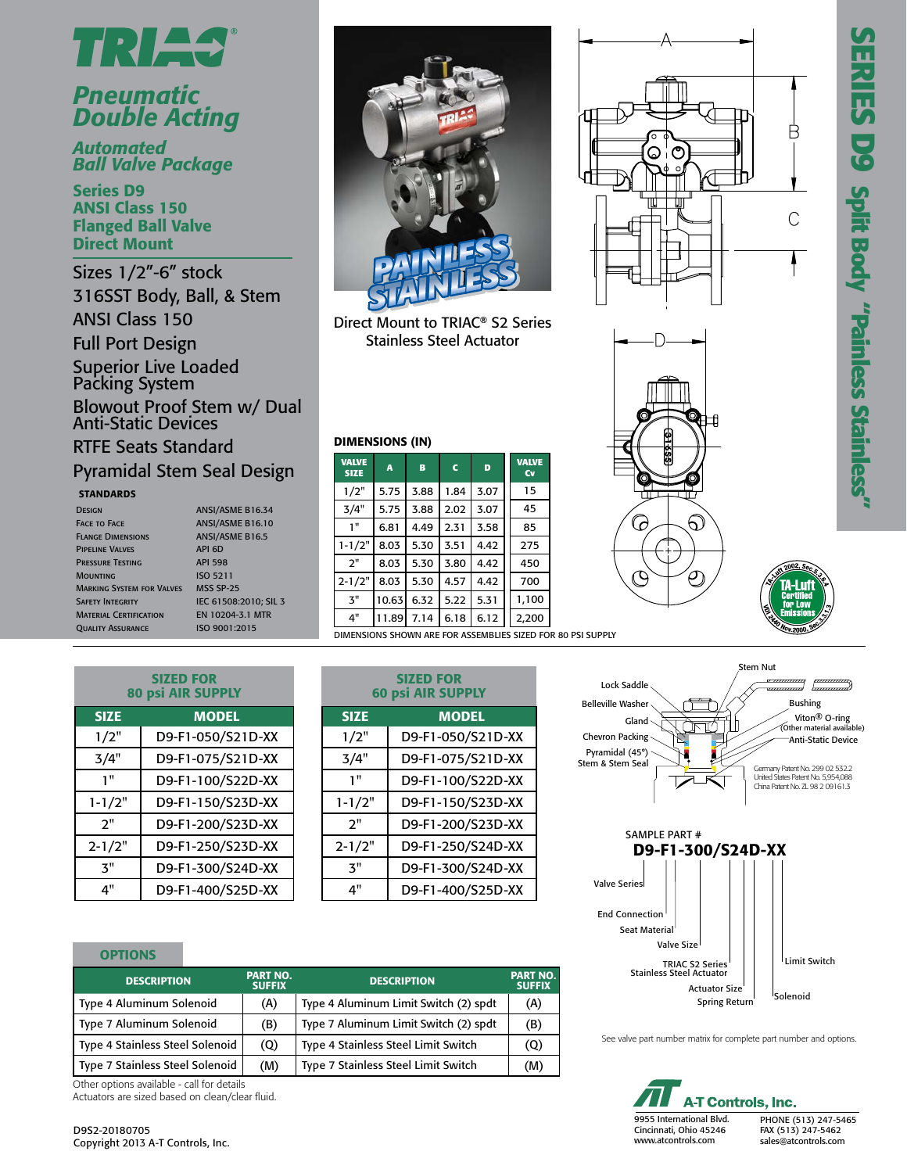



## *Pneumatic Double Acting*

*Automated Ball Valve Package*

Series D9 ANSI Class 150 Flanged Ball Valve Direct Mount

Sizes 1/2"-6" stock 316SST Body, Ball, & Stem ANSI Class 150 Full Port Design Superior Live Loaded Packing System

Blowout Proof Stem w/ Dual Anti-Static Devices

RTFE Seats Standard Pyramidal Stem Seal Design

#### **STANDARDS**

| <b>DESIGN</b>                    | ANSI/ASME B16.34       |
|----------------------------------|------------------------|
| <b>FACE TO FACE</b>              | ANSI/ASME B16.10       |
| <b>FLANGE DIMENSIONS</b>         | <b>ANSI/ASME B16.5</b> |
| <b>PIPELINE VALVES</b>           | API 6D                 |
| <b>PRESSURE TESTING</b>          | <b>API 598</b>         |
| <b>MOUNTING</b>                  | <b>ISO 5211</b>        |
| <b>MARKING SYSTEM FOR VALVES</b> | <b>MSS SP-25</b>       |
| <b>SAFETY INTEGRITY</b>          | IEC 61508:2010: SIL 3  |
| <b>MATERIAL CERTIFICATION</b>    | EN 10204-3.1 MTR       |
| <b>OUALITY ASSURANCE</b>         | ISO 9001:2015          |

| <b>INSI/ASME B16.34</b> |
|-------------------------|
| <b>INSI/ASME B16.10</b> |
| <b>INSI/ASME B16.5</b>  |
| PI 6D                   |
| PI 598                  |
| SO 5211                 |
| <b>ASS SP-25</b>        |
| EC 61508:2010; SIL 3    |
| N 10204-3.1 MTR         |
| SO 9001:2015            |



Direct Mount to TRIAC® S2 Series Stainless Steel Actuator

|  |  | DIMENSIONS (IN) |  |
|--|--|-----------------|--|
|  |  |                 |  |

| <b>VALVE</b><br><b>SIZE</b>                  | A     | B    | $\mathbf c$ | D    | <b>VALVE</b><br><b>Cv</b> |
|----------------------------------------------|-------|------|-------------|------|---------------------------|
| 1/2"                                         | 5.75  | 3.88 | 1.84        | 3.07 | 15                        |
| 3/4"                                         | 5.75  | 3.88 | 2.02        | 3.07 | 45                        |
| 1 <sup>0</sup>                               | 6.81  | 4.49 | 2.31        | 3.58 | 85                        |
| $1 - 1/2"$                                   | 8.03  | 5.30 | 3.51        | 4.42 | 275                       |
| 2"                                           | 8.03  | 5.30 | 3.80        | 4.42 | 450                       |
| $2 - 1/2"$                                   | 8.03  | 5.30 | 4.57        | 4.42 | 700                       |
| $\mathbf{3}^{\mathrm{II}}$                   | 10.63 | 6.32 | 5.22        | 5.31 | 1,100                     |
| 4"                                           | 11.89 | 7.14 | 6.18        | 6.12 | 2,200                     |
| DIMENSIONS SHOWN ARE FOR ASSEMBLIES SIZED FO |       |      |             |      |                           |





| VII 2002, Sec. 5:3<br>'A-Luf<br>Certified<br>for Low<br>E. MISSION |  |
|--------------------------------------------------------------------|--|

| <b>SIZED FOR</b><br><b>80 psi AIR SUPPLY</b> |                   |  |  |  |  |  |
|----------------------------------------------|-------------------|--|--|--|--|--|
| <b>SIZE</b>                                  | <b>MODEL</b>      |  |  |  |  |  |
| 1/2"                                         | D9-F1-050/S21D-XX |  |  |  |  |  |
| 3/4"                                         | D9-F1-075/S21D-XX |  |  |  |  |  |
| 1"                                           | D9-F1-100/S22D-XX |  |  |  |  |  |
| $1 - 1/2"$                                   | D9-F1-150/S23D-XX |  |  |  |  |  |
| 2"                                           | D9-F1-200/S23D-XX |  |  |  |  |  |
| $2 - 1/2"$                                   | D9-F1-250/S23D-XX |  |  |  |  |  |
| 3"                                           | D9-F1-300/S24D-XX |  |  |  |  |  |
| 4"                                           | D9-F1-400/S25D-XX |  |  |  |  |  |

|             | <b>SIZED FOR</b><br><b>60 psi AIR SUPPLY</b> |  |  |  |  |  |  |  |
|-------------|----------------------------------------------|--|--|--|--|--|--|--|
| <b>SIZE</b> | <b>MODEL</b>                                 |  |  |  |  |  |  |  |
| 1/2"        | D9-F1-050/S21D-XX                            |  |  |  |  |  |  |  |
| 3/4"        | D9-F1-075/S21D-XX                            |  |  |  |  |  |  |  |
| 1"          | D9-F1-100/S22D-XX                            |  |  |  |  |  |  |  |
| $1 - 1/2"$  | D9-F1-150/S23D-XX                            |  |  |  |  |  |  |  |
| 2"          | D9-F1-200/S23D-XX                            |  |  |  |  |  |  |  |
| $2 - 1/2"$  | D9-F1-250/S24D-XX                            |  |  |  |  |  |  |  |
| ス"          | D9-F1-300/S24D-XX                            |  |  |  |  |  |  |  |
| 4"          | D9-F1-400/S25D-XX                            |  |  |  |  |  |  |  |

| . .<br>_____<br>٠ |
|-------------------|
|-------------------|

| <b>DESCRIPTION</b>              | <b>PART NO.</b><br><b>SUFFIX</b> | <b>DESCRIPTION</b>                    | <b>PART NO.</b><br><b>SUFFIX</b> |
|---------------------------------|----------------------------------|---------------------------------------|----------------------------------|
| Type 4 Aluminum Solenoid        | (A)                              | Type 4 Aluminum Limit Switch (2) spdt | (A)                              |
| Type 7 Aluminum Solenoid        | (B)                              | Type 7 Aluminum Limit Switch (2) spdt | (B)                              |
| Type 4 Stainless Steel Solenoid | (Q)                              | Type 4 Stainless Steel Limit Switch   | (Q)                              |
| Type 7 Stainless Steel Solenoid | (M)                              | Type 7 Stainless Steel Limit Switch   | (M)                              |

Other options available - call for details Actuators are sized based on clean/clear fluid.





See valve part number matrix for complete part number and options.

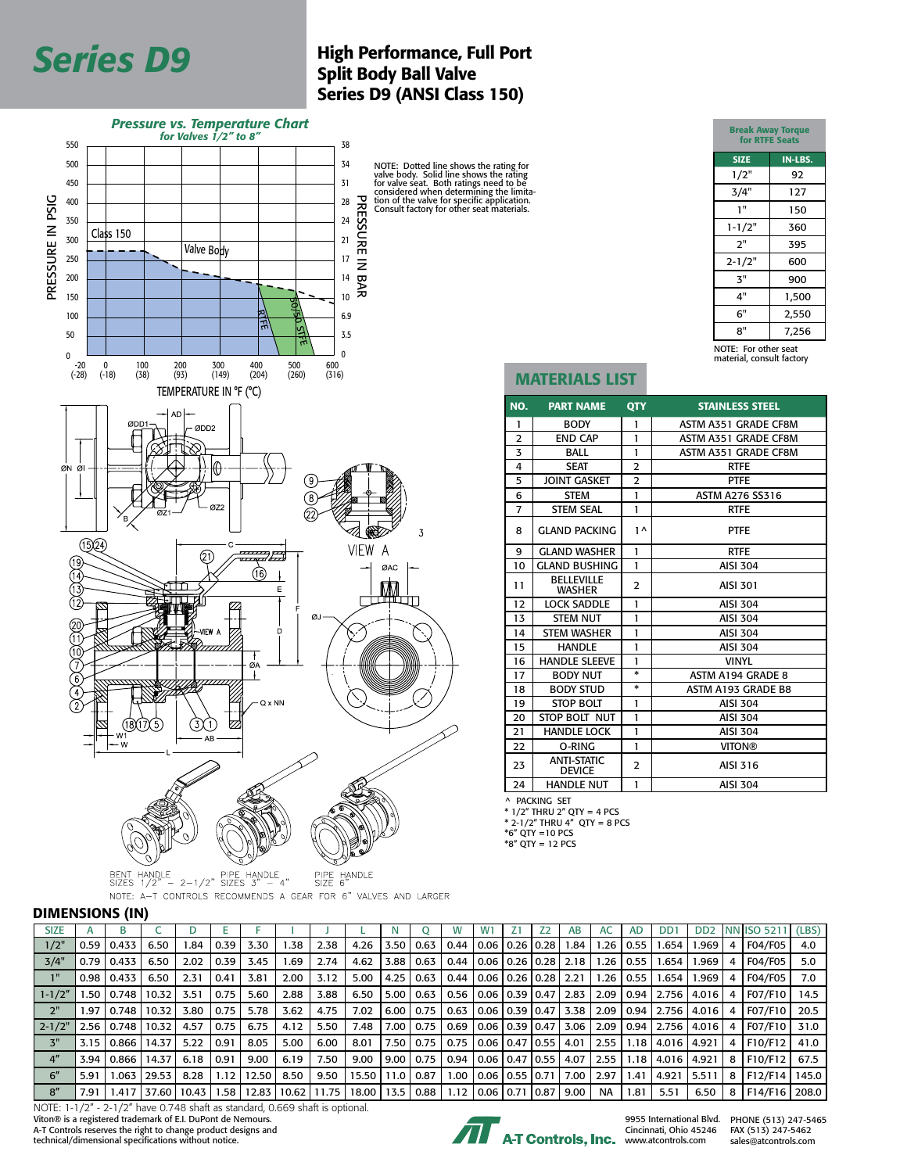# for Valves 1/2" to 6"

D9 & FD9 Series

## **Series D9** High Performance, Full Port Split Body Ball Valve Split Body Ball Valve Series D9 (ANSI Class 150)



BENT HANDLE<br>SIZES  $1/2$ " -  $2-1/2$ " SIZES  $3$ " - 4" PIPE HANDLE<br>SIZE 6" NOTE: A-T CONTROLS RECOMMENDS A GEAR FOR 6" VALVES AND LARGER

#### DIMENSIONS (IN)

| <b>SIZE</b>        |      |         |       |       |      |       |       |       |              |      |      |      | W1                        |  | AВ   | AC            | <b>AD</b>             | DD <sub>1</sub>     | D <sub>D</sub> <sub>2</sub> |   | NN ISO 5211 (LBS) |      |
|--------------------|------|---------|-------|-------|------|-------|-------|-------|--------------|------|------|------|---------------------------|--|------|---------------|-----------------------|---------------------|-----------------------------|---|-------------------|------|
| 1/2"               | 0.59 | 0.433   | 6.50  | 84. ا | 0.39 | 3.30  | .38   | 2.38  | 4.26         | 3.50 | 0.63 | 0.44 | 0.06   0.26   0.28        |  | 1.84 | $1.26$   0.55 |                       | 1.654               | 1.969                       |   | <b>F04/F05</b>    | 4.0  |
| 3/4"               | 0.79 | 0.433   | 6.50  | 2.02  | 0.39 | 3.45  | 69.،  | 2.74  | 4.62         | 3.88 | 0.63 | 0.44 | 0.06   0.26   0.28   2.18 |  |      |               | $1.26$   0.55         | 1.654               | 1.969                       |   | F04/F05           | 5.0  |
| $1^{\mathrm{H}}$   | 0.98 | 0.433   | 6.50  | 2.31  | 0.41 | 3.81  | 2.00  | 3.12  | 5.00         | 4.25 | 0.63 | 0.44 | 0.06   0.26   0.28   2.21 |  |      | 1.26          | 0.55                  | 1.654               | 1.969                       |   | <b>F04/F05</b>    | 7.0  |
| $1 - 1/2"$         | .50  | 0.748   | 10.32 | 3.51  | 0.75 | 5.60  | 2.88  | 3.88  | 6.50         | 5.00 | 0.63 | 0.56 | 0.06   0.39   0.47        |  | 2.83 |               |                       | 2.09   0.94   2.756 | 4.016                       |   | F07/F10           | 14.5 |
| 2"                 | .97  | l 0.748 | 10.32 | 3.80  | 0.75 | 5.78  | 3.62  | 4.75  | 7.02         | 6.00 | 0.75 | 0.63 | 0.06   0.39   0.47   3.38 |  |      |               |                       | 2.09   0.94   2.756 | 4.016                       |   | F07/F10           | 20.5 |
| 2-1/2"             | 2.56 | 0.748   | 10.32 | 4.57  | 0.75 | 6.75  | 4.12  | 5.50  | 7.48         | 7.00 | 0.75 | 0.69 | 0.06   0.39   0.47        |  | 3.06 |               |                       | 2.09   0.94   2.756 | 4.016                       |   | F07/F10           | 31.0 |
| 3"                 | 3.15 | l 0.866 | 14.37 | 5.22  | 0.91 | 8.05  | 5.00  | 6.00  | 8.01         | 7.50 | 0.75 | 0.75 | 0.06   0.47   0.55        |  | 4.01 | 2.55          | 1.18 I                | 4.016               | 4.921                       | 4 | F10/F12           | 41.0 |
| $4^{\prime\prime}$ | 3.94 | 0.866   | 14.37 | 6.18  | 0.91 | 9.00  | 6.19  | 7.50  | 9.00         | 9.00 | 0.75 | 0.94 | 0.06   0.47   0.55        |  | 4.07 | 2.55 l        | $1.18$ $\overline{ }$ | 4.016               | 4.921                       | 8 | F10/F12           | 67.5 |
| 6''                | 5.91 | 1.063   | 29.53 | 8.28  | 1.12 | 12.50 | 8.50  | 9.50  | 15.50   11.0 |      | 0.87 | 1.00 | 0.06   0.55   0.71        |  | 7.00 | 2.97          | 1.41                  | 4.921               | 5.511                       | 8 | F12/F14   145.0   |      |
| 8''                | 7.91 | 1.417   | 37.60 | 10.43 | 1.58 | 12.83 | 10.62 | 11.75 | 18.00   13.5 |      | 0.88 | 1.12 | 0.06   0.71   0.87        |  | 9.00 | <b>NA</b>     | 1.81                  | 5.51                | 6.50                        | 8 | F14/F16   208.0   |      |

NOTE: 1-1/2" - 2-1/2" have 0.748 shaft as standard, 0.669 shaft is optional. Viton® is a registered trademark of E.I. DuPont de Nemours.<br>A-T Controls reserves the right to change product designs and

technical/dimensional specifications without notice.



Cincinnati, Ohio 45246

9955 International Blvd. PHONE (513) 247-5465 FAX (513) 247-5462 sales@atcontrols.com

| <b>Break Away Torque</b><br>for RTFE Seats |         |  |  |  |  |  |  |
|--------------------------------------------|---------|--|--|--|--|--|--|
| <b>SIZE</b>                                | IN-LBS. |  |  |  |  |  |  |
| 1/2"                                       | 92      |  |  |  |  |  |  |
| 3/4"                                       | 127     |  |  |  |  |  |  |
| 1"                                         | 150     |  |  |  |  |  |  |
| $1 - 1/2"$                                 | 360     |  |  |  |  |  |  |
| 2"                                         | 395     |  |  |  |  |  |  |
| $2 - 1/2"$                                 | 600     |  |  |  |  |  |  |
| 3"                                         | 900     |  |  |  |  |  |  |
| 4"                                         | 1,500   |  |  |  |  |  |  |
| 6"                                         | 2,550   |  |  |  |  |  |  |
| 8"                                         | 7,256   |  |  |  |  |  |  |
| $M = T$                                    |         |  |  |  |  |  |  |

and the control of the control of the control of

NOTE: For other seat material, consult factory

### MATERIALS LIST

| NO.            | <b>PART NAME</b>                    | <b>QTY</b>               | <b>STAINLESS STEEL</b>    |
|----------------|-------------------------------------|--------------------------|---------------------------|
| 1              | <b>BODY</b>                         | 1                        | ASTM A351 GRADE CF8M      |
| $\overline{2}$ | <b>END CAP</b>                      | 1                        | ASTM A351 GRADE CF8M      |
| 3              | <b>BALL</b>                         | $\mathbf{1}$             | ASTM A351 GRADE CF8M      |
| 4              | <b>SEAT</b>                         | $\overline{2}$           | <b>RTFE</b>               |
| 5              | <b>JOINT GASKET</b>                 | $\overline{\phantom{0}}$ | <b>PTFF</b>               |
| 6              | <b>STEM</b>                         | 1                        | <b>ASTM A276 SS316</b>    |
| 7              | <b>STEM SEAL</b>                    | 1                        | <b>RTFE</b>               |
| 8              | <b>GLAND PACKING</b>                | $1^{\wedge}$             | <b>PTFE</b>               |
| 9              | <b>GLAND WASHER</b>                 | 1                        | <b>RTFE</b>               |
| 10             | <b>GLAND BUSHING</b>                | 1                        | <b>AISI 304</b>           |
| 11             | <b>BELLEVILLE</b><br><b>WASHER</b>  | $\overline{2}$           | <b>AISI 301</b>           |
| 12             | <b>LOCK SADDLE</b>                  | $\mathbf{1}$             | <b>AISI 304</b>           |
| 13             | <b>STEM NUT</b>                     | 1                        | <b>AISI 304</b>           |
| 14             | <b>STEM WASHER</b>                  | 1                        | <b>AISI 304</b>           |
| 15             | <b>HANDLE</b>                       | 1                        | <b>AISI 304</b>           |
| 16             | <b>HANDLE SLEEVE</b>                | 1                        | <b>VINYL</b>              |
| 17             | <b>BODY NUT</b>                     | $\ast$                   | ASTM A194 GRADE 8         |
| 18             | <b>BODY STUD</b>                    | $\ast$                   | <b>ASTM A193 GRADE B8</b> |
| 19             | <b>STOP BOLT</b>                    | 1                        | <b>AISI 304</b>           |
| 20             | STOP BOLT NUT                       | 1                        | <b>AISI 304</b>           |
| 21             | <b>HANDLE LOCK</b>                  | 1                        | <b>AISI 304</b>           |
| 22             | O-RING                              | 1                        | <b>VITON®</b>             |
| 23             | <b>ANTI-STATIC</b><br><b>DEVICE</b> | $\overline{2}$           | AISI 316                  |
| 24             | <b>HANDLE NUT</b>                   | 1                        | <b>AISI 304</b>           |

^ PACKING SET

\* 1/2" THRU 2" QTY = 4 PCS \* 2-1/2" THRU 4" QTY = 8 PCS \*6" QTY =10 PCS

\*8" QTY = 12 PCS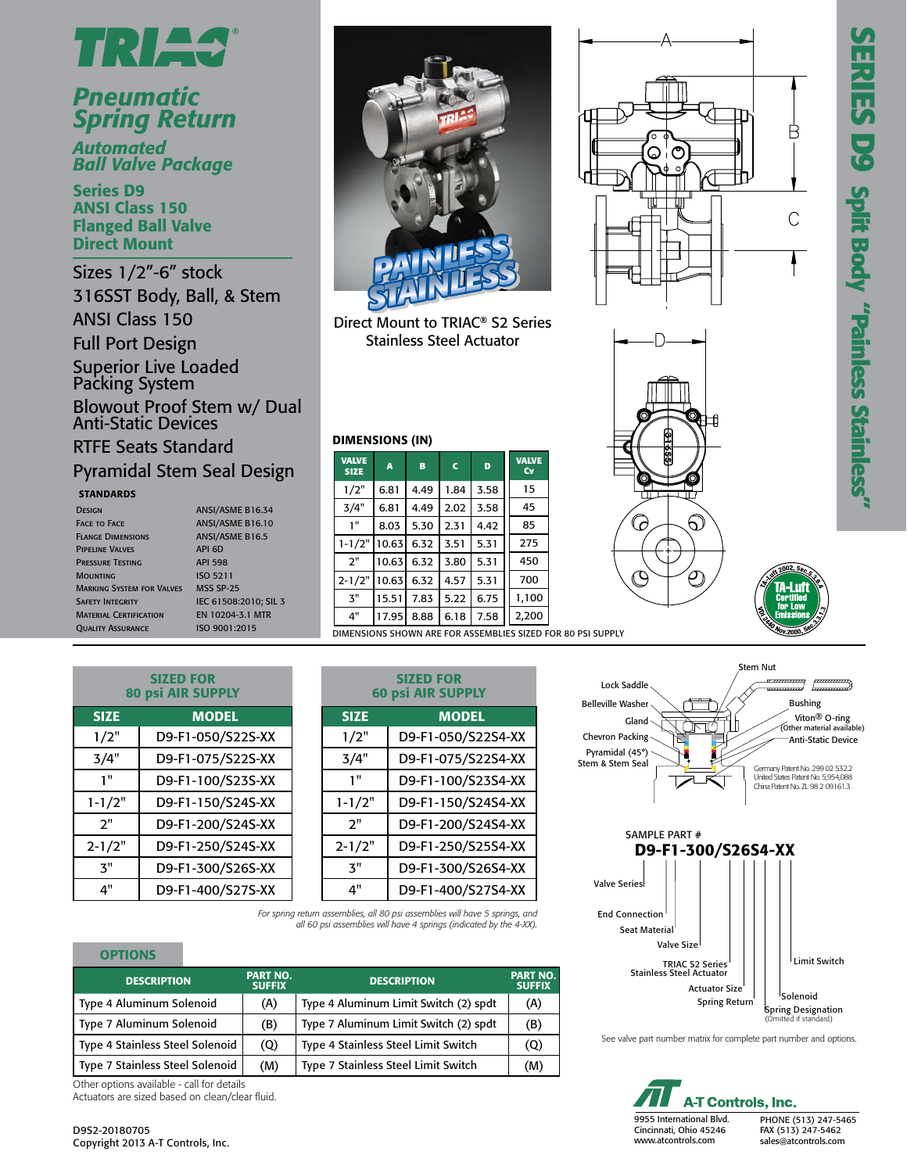



## *Pneumatic Spring Return*

*Automated Ball Valve Package*

Series D9 ANSI Class 150 Flanged Ball Valve Direct Mount

Sizes 1/2"-6" stock 316SST Body, Ball, & Stem ANSI Class 150 Full Port Design

Superior Live Loaded Packing System Blowout Proof Stem w/ Dual

## Anti-Static Devices RTFE Seats Standard Pyramidal Stem Seal Design

SIZED FOR 80 psi AIR SUPPLY SIZE MODEL 1/2" D9-F1-050/S22S-XX 3/4" D9-F1-075/S22S-XX 1" D9-F1-100/S23S-XX 1-1/2" D9-F1-150/S24S-XX 2" D9-F1-200/S24S-XX 2-1/2" D9-F1-250/S24S-XX 3" D9-F1-300/S26S-XX 4" D9-F1-400/S27S-XX

#### **STANDARDS**

| <b>DESIGN</b>                    | ANSI/ASME B16.34       |
|----------------------------------|------------------------|
| <b>FACE TO FACE</b>              | ANSI/ASME B16.10       |
| <b>FLANGE DIMENSIONS</b>         | <b>ANSI/ASME B16.5</b> |
| <b>PIPELINE VALVES</b>           | API 6D                 |
| <b>PRESSURE TESTING</b>          | <b>API 598</b>         |
| <b>MOUNTING</b>                  | ISO 5211               |
| <b>MARKING SYSTEM FOR VALVES</b> | <b>MSS SP-25</b>       |
| <b>SAFETY INTEGRITY</b>          | IEC 61508:2010: SIL 3  |
| <b>MATERIAL CERTIFICATION</b>    | EN 10204-3.1 MTR       |
| <b>OUALITY ASSURANCE</b>         | ISO 9001:2015          |

| ANSI/ASME B16.34       |
|------------------------|
| ANSI/ASME B16.10       |
| <b>ANSI/ASME B16.5</b> |
| API 6D                 |
| <b>API 598</b>         |
| ISO 5211               |
| <b>MSS SP-25</b>       |
| IEC 61508:2010: SIL 3  |
| <b>FN 10204-31 MTR</b> |
| ISO 9001:2015          |



Direct Mount to TRIAC® S2 Series Stainless Steel Actuator

#### DIMENSIONS (IN)

| <b>VALVE</b><br><b>SIZE</b> | A     | B    | $\mathbf c$ | D    | <b>VALVE</b><br>Cv                          |
|-----------------------------|-------|------|-------------|------|---------------------------------------------|
| 1/2"                        | 6.81  | 4.49 | 1.84        | 3.58 | 15                                          |
| 3/4"                        | 6.81  | 4.49 | 2.02        | 3.58 | 45                                          |
| 1"                          | 8.03  | 5.30 | 2.31        | 4.42 | 85                                          |
| $1 - 1/2"$                  | 10.63 | 6.32 | 3.51        | 5.31 | 275                                         |
| 2"                          | 10.63 | 6.32 | 3.80        | 5.31 | 450                                         |
| $2 - 1/2"$                  | 10.63 | 6.32 | 4.57        | 5.31 | 700                                         |
| $\mathbf{3}^{\mathrm{II}}$  | 15.51 | 7.83 | 5.22        | 6.75 | 1,100                                       |
| 4"                          | 17.95 | 8.88 | 6.18        | 7.58 | 2,200                                       |
|                             |       |      |             |      | DIMENSIONS SHOWN ARE FOR ASSEMBLIES SIZED F |

| JIMENSIONS SHOWN ARE FOR ASSEMBLIES SIZED FOR 80 |                                       |  |  |  |  |  |  |
|--------------------------------------------------|---------------------------------------|--|--|--|--|--|--|
|                                                  |                                       |  |  |  |  |  |  |
|                                                  | SIZED FOR<br><b>60 psi AIR SUPPLY</b> |  |  |  |  |  |  |
| <b>SIZE</b>                                      | <b>MODEL</b>                          |  |  |  |  |  |  |
| 1/2"                                             | D9-F1-050/S22S4-XX                    |  |  |  |  |  |  |
| 3/4"                                             | D9-F1-075/S22S4-XX                    |  |  |  |  |  |  |
| 1"                                               | D9-F1-100/S23S4-XX                    |  |  |  |  |  |  |
| $1 - 1/2"$                                       | D9-F1-150/S24S4-XX                    |  |  |  |  |  |  |
| 2"                                               | D9-F1-200/S24S4-XX                    |  |  |  |  |  |  |
| 2-1/2"                                           | D9-F1-250/S25S4-XX                    |  |  |  |  |  |  |
| 3"                                               | D9-F1-300/S26S4-XX                    |  |  |  |  |  |  |
| 4"                                               | D9-F1-400/S27S4-XX                    |  |  |  |  |  |  |

*For spring return assemblies, all 80 psi assemblies will have 5 springs, and all 60 psi assemblies will have 4 springs (indicated by the 4-XX).*

| <b>OPTIONS</b>                         |                                  |                                       |                                  |
|----------------------------------------|----------------------------------|---------------------------------------|----------------------------------|
| <b>DESCRIPTION</b>                     | <b>PART NO.</b><br><b>SUFFIX</b> | <b>DESCRIPTION</b>                    | <b>PART NO.</b><br><b>SUFFIX</b> |
| Type 4 Aluminum Solenoid               | (A)                              | Type 4 Aluminum Limit Switch (2) spdt | (A)                              |
| Type 7 Aluminum Solenoid               | (B)                              | Type 7 Aluminum Limit Switch (2) spdt | (B)                              |
| <b>Type 4 Stainless Steel Solenoid</b> | (Q)                              | Type 4 Stainless Steel Limit Switch   | (Q)                              |
| Type 7 Stainless Steel Solenoid        | (M)                              | Type 7 Stainless Steel Limit Switch   | (M)                              |

Other options available - call for details Actuators are sized based on clean/clear fluid.









See valve part number matrix for complete part number and options.